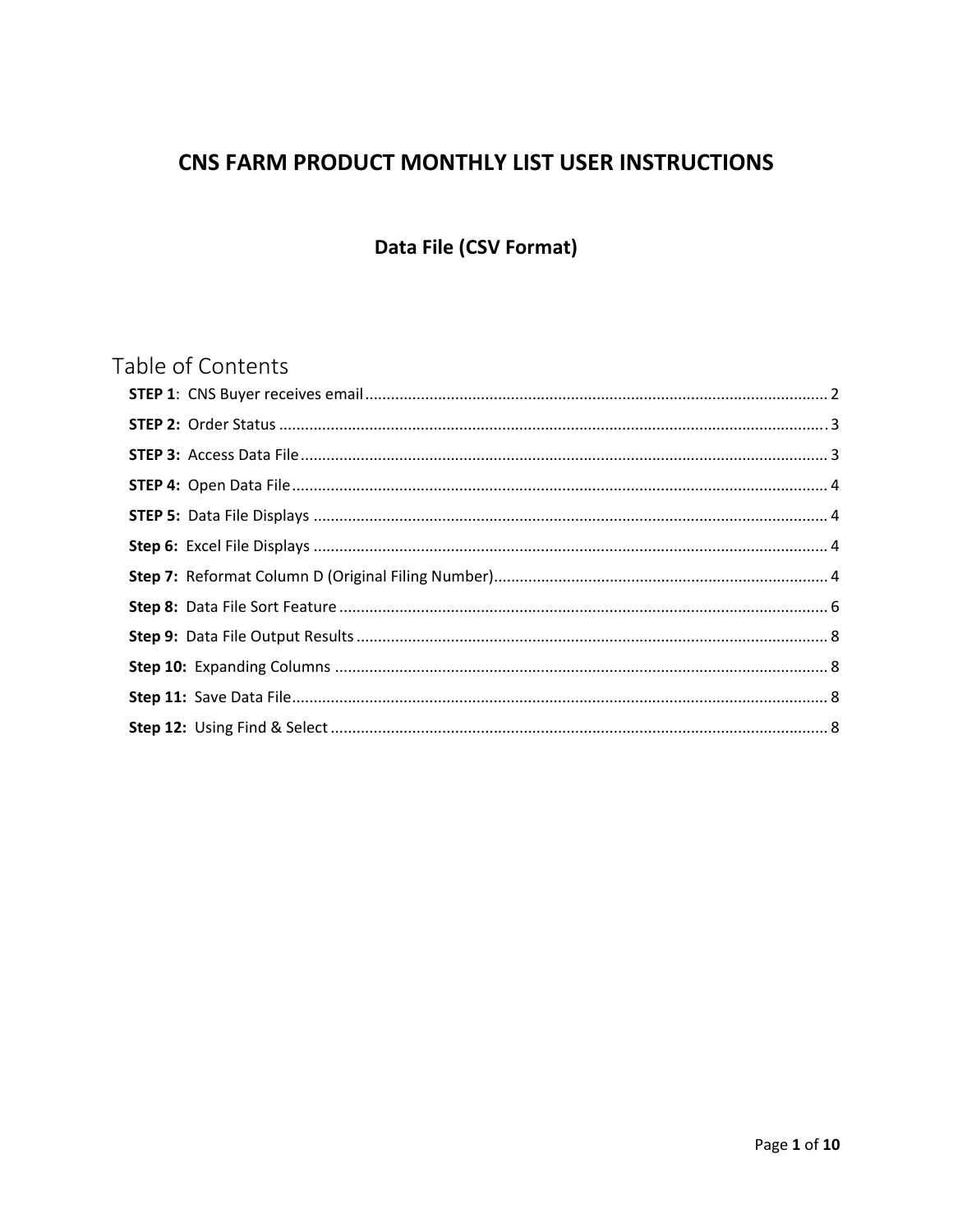# CNS FARM PRODUCT MONTHLY LIST USER INSTRUCTIONS

# Data File (CSV Format)

# Table of Contents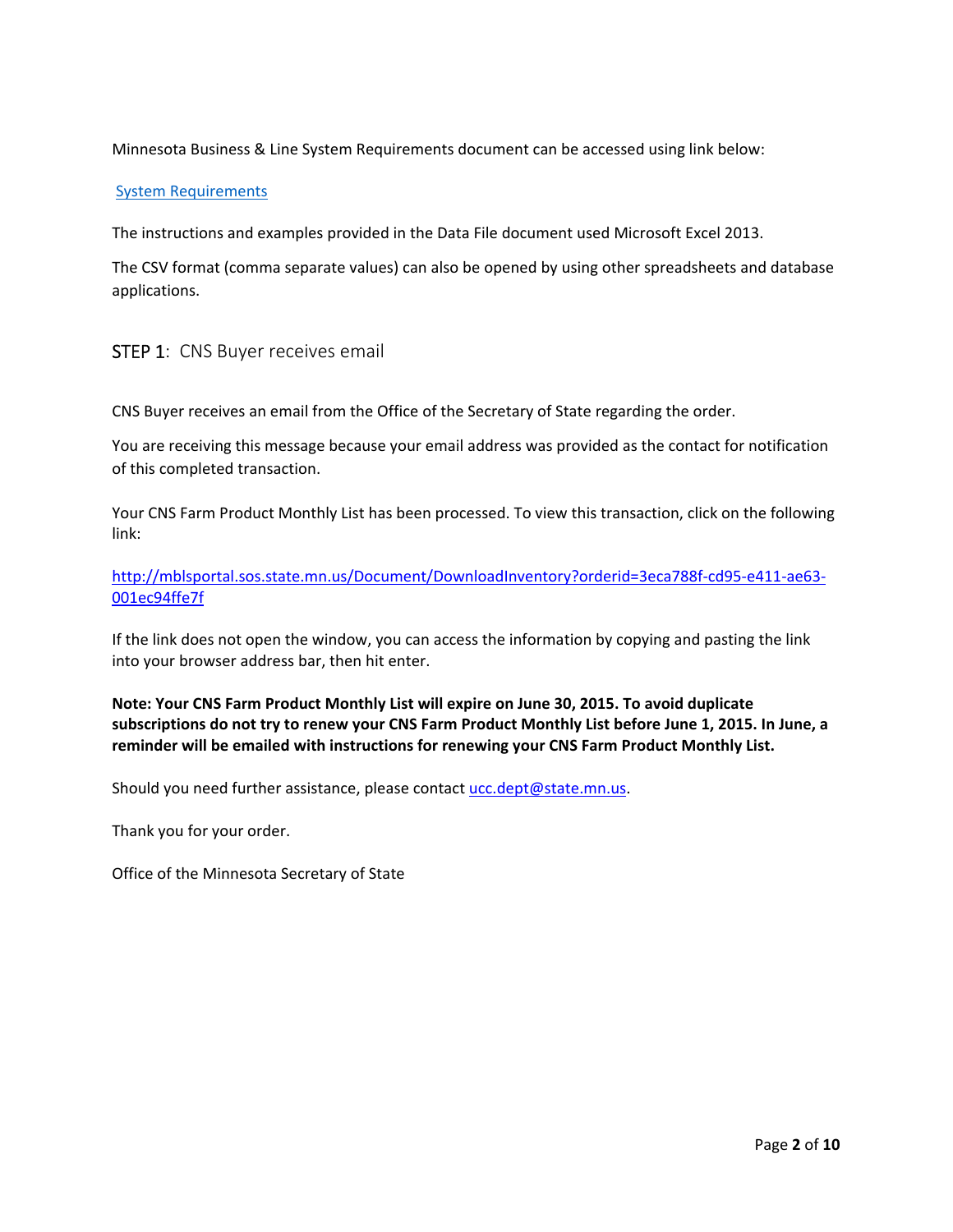Minnesota Business & Line System Requirements document can be accessed using link below:

#### System Requirements

The instructions and examples provided in the Data File document used Microsoft Excel 2013.

The CSV format (comma separate values) can also be opened by using other spreadsheets and database applications.

## STEP 1: CNS Buyer receives email

CNS Buyer receives an email from the Office of the Secretary of State regarding the order.

You are receiving this message because your email address was provided as the contact for notification of this completed transaction.

Your CNS Farm Product Monthly List has been processed. To view this transaction, click on the following link:

http://mblsportal.sos.state.mn.us/Document/DownloadInventory?orderid=3eca788f-cd95-e411-ae63-001ec94ffe7f

If the link does not open the window, you can access the information by copying and pasting the link into your browser address bar, then hit enter.

#### **Note: Your CNS Farm Product Monthly List will expire on June 30, 2015. To avoid duplicate** subscriptions do not try to renew your CNS Farm Product Monthly List before June 1, 2015. In June, a **reminder will be emailed with instructions for renewing your CNS Farm Product Monthly List.**

Should you need further assistance, please contact ucc.dept@state.mn.us.

Thank you for your order.

Office of the Minnesota Secretary of State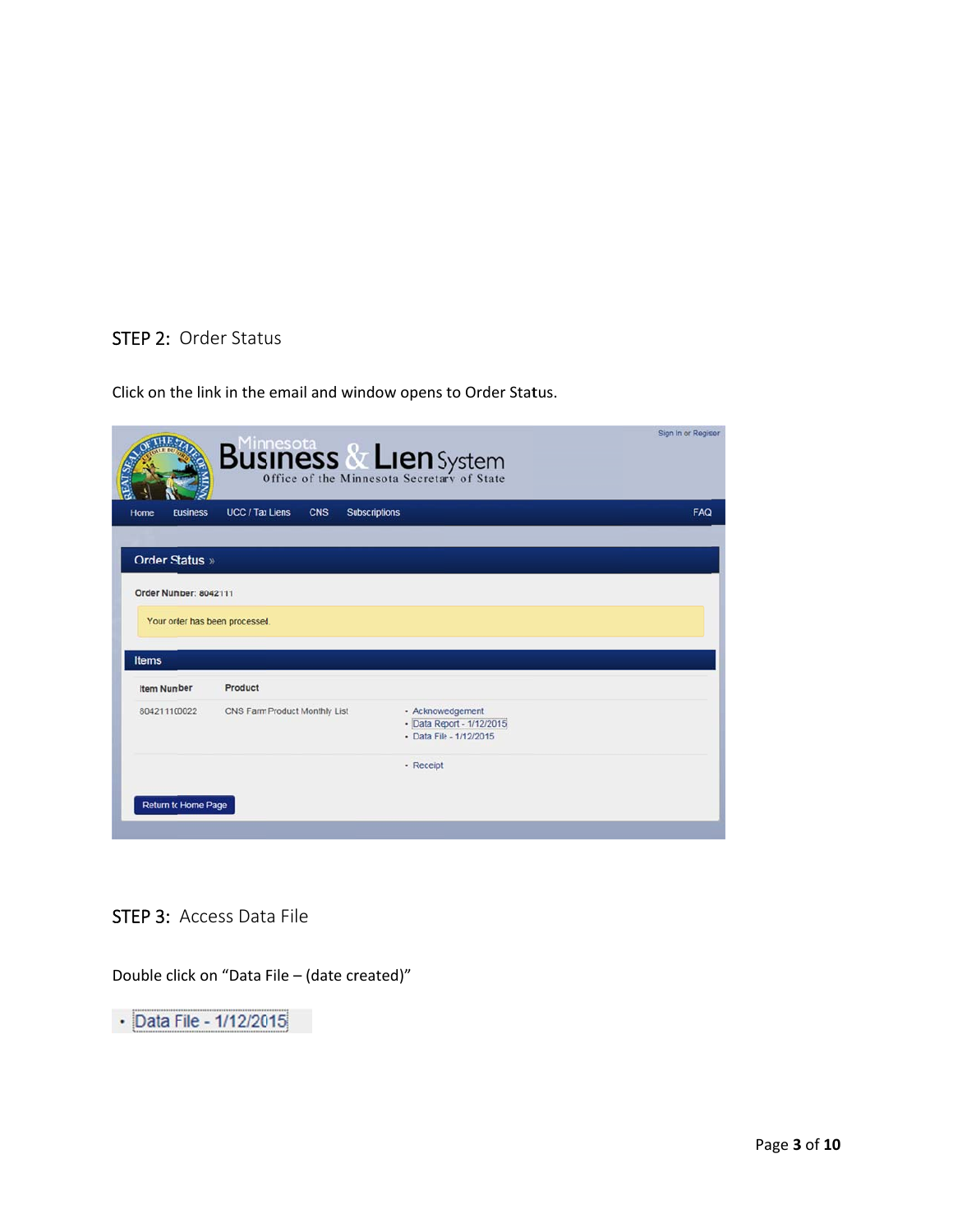## STEP 2: Order Status

Click on the link in the email and window opens to Order Status.

|                                         | <b>Business &amp; Lien</b> System                            |                                                                           | Sign In or Register |
|-----------------------------------------|--------------------------------------------------------------|---------------------------------------------------------------------------|---------------------|
| <b>Business</b><br>Home                 | <b>UCC</b> / Tax Liens<br><b>CNS</b><br><b>Subscriptions</b> |                                                                           | FAQ                 |
|                                         |                                                              |                                                                           |                     |
| Order Status »                          |                                                              |                                                                           |                     |
| Order Number: 8042111                   |                                                              |                                                                           |                     |
|                                         |                                                              |                                                                           |                     |
| Your order has been processed.<br>Items |                                                              |                                                                           |                     |
| <b>Item Number</b>                      | Product                                                      |                                                                           |                     |
| 804211100022                            | CNS Farm Product Monthly List                                | - Acknowledgement<br>- Data Report - 1/12/2015<br>- Data File - 1/12/2015 |                     |
|                                         |                                                              | - Receipt                                                                 |                     |
| Return to Home Page                     |                                                              |                                                                           |                     |

## STEP 3: Access Data File

Double click on "Data File – (date created)"

• Data File - 1/12/2015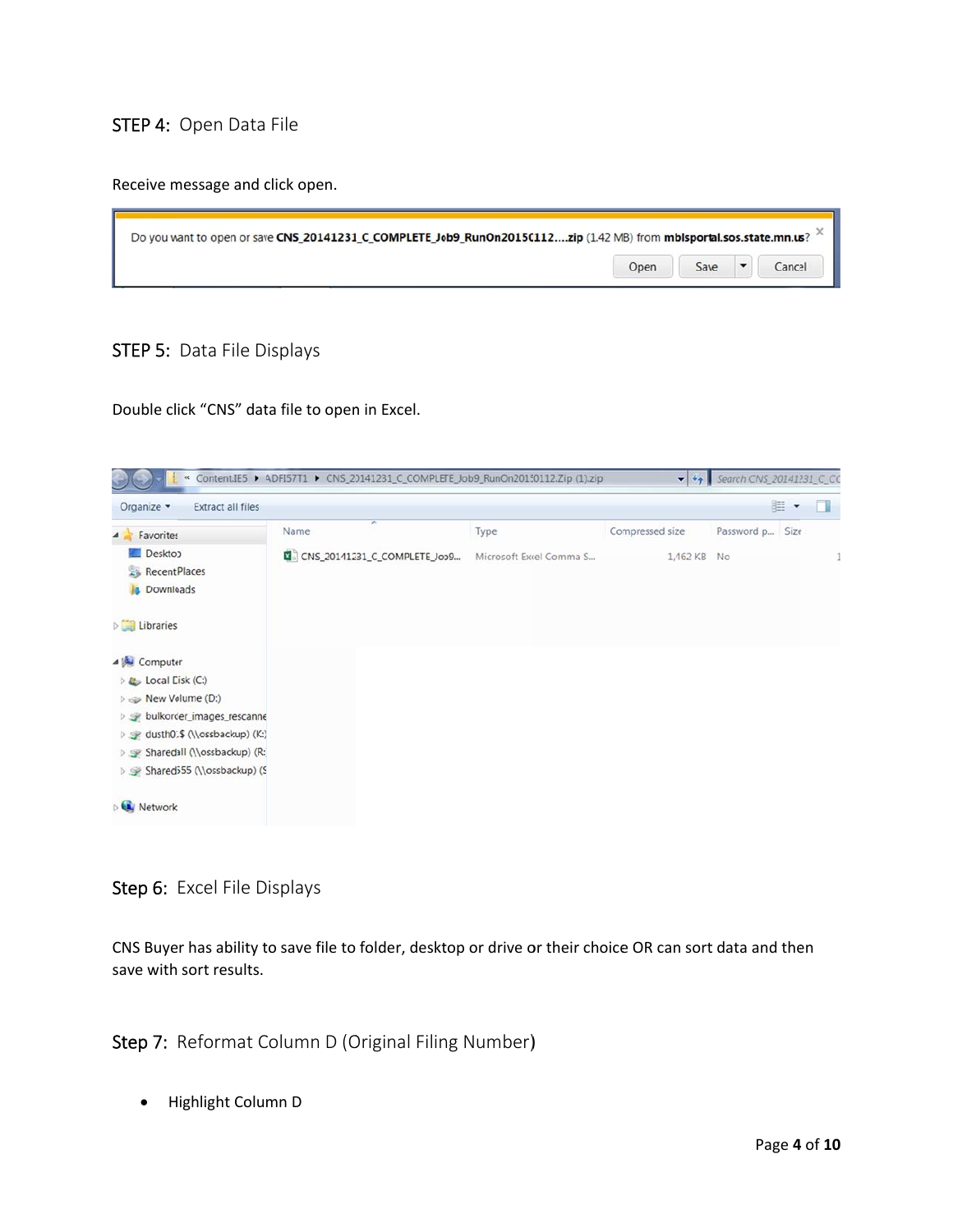## STEP 4: Open Data File

Receive message and click open.

| Do you want to open or save CNS_20141231_C_COMPLETE_Job9_RunOn20150112zip (1.42 MB) from mblsportal.sos.state.mn.us? |      |      |        |
|----------------------------------------------------------------------------------------------------------------------|------|------|--------|
|                                                                                                                      | Open | Save | Cancel |

## STEP 5: Data File Displays

Double click "CNS" data file to open in Excel.

| Organize -<br><b>Extract all files</b>           |                                                        |      |                 |                 | <b>llextra</b> | n |
|--------------------------------------------------|--------------------------------------------------------|------|-----------------|-----------------|----------------|---|
| Favorites<br>4 <sup>1</sup>                      | ×<br>Name                                              | Type | Compressed size | Password p Size |                |   |
| Desktop                                          | 图 CNS_20141231_C_COMPLETE_Job9 Microsoft Excel Comma S |      | 1,462 KB No     |                 |                |   |
| Recent Places                                    |                                                        |      |                 |                 |                |   |
| <b>Downloads</b>                                 |                                                        |      |                 |                 |                |   |
| <b>Libraries</b>                                 |                                                        |      |                 |                 |                |   |
| 4 <sup>1</sup> Computer                          |                                                        |      |                 |                 |                |   |
| <b>D</b> Local Disk (C:)                         |                                                        |      |                 |                 |                |   |
| $\triangleright \Leftrightarrow$ New Volume (D:) |                                                        |      |                 |                 |                |   |
| b se bulkorder_images_rescanne                   |                                                        |      |                 |                 |                |   |
| ▷ sy dusth01\$ (\\ossbackup) (K:)                |                                                        |      |                 |                 |                |   |
| Sharedall (\\ossbackup) (R:)                     |                                                        |      |                 |                 |                |   |
| ▷ Shared555 (\\ossbackup) (S                     |                                                        |      |                 |                 |                |   |
| <b>Network</b>                                   |                                                        |      |                 |                 |                |   |

Step 6: Excel File Displays

CNS Buyer has ability to save file to folder, desktop or drive or their choice OR can sort data and then save with sort results.

Step 7: Reformat Column D (Original Filing Number)

· Highlight Column D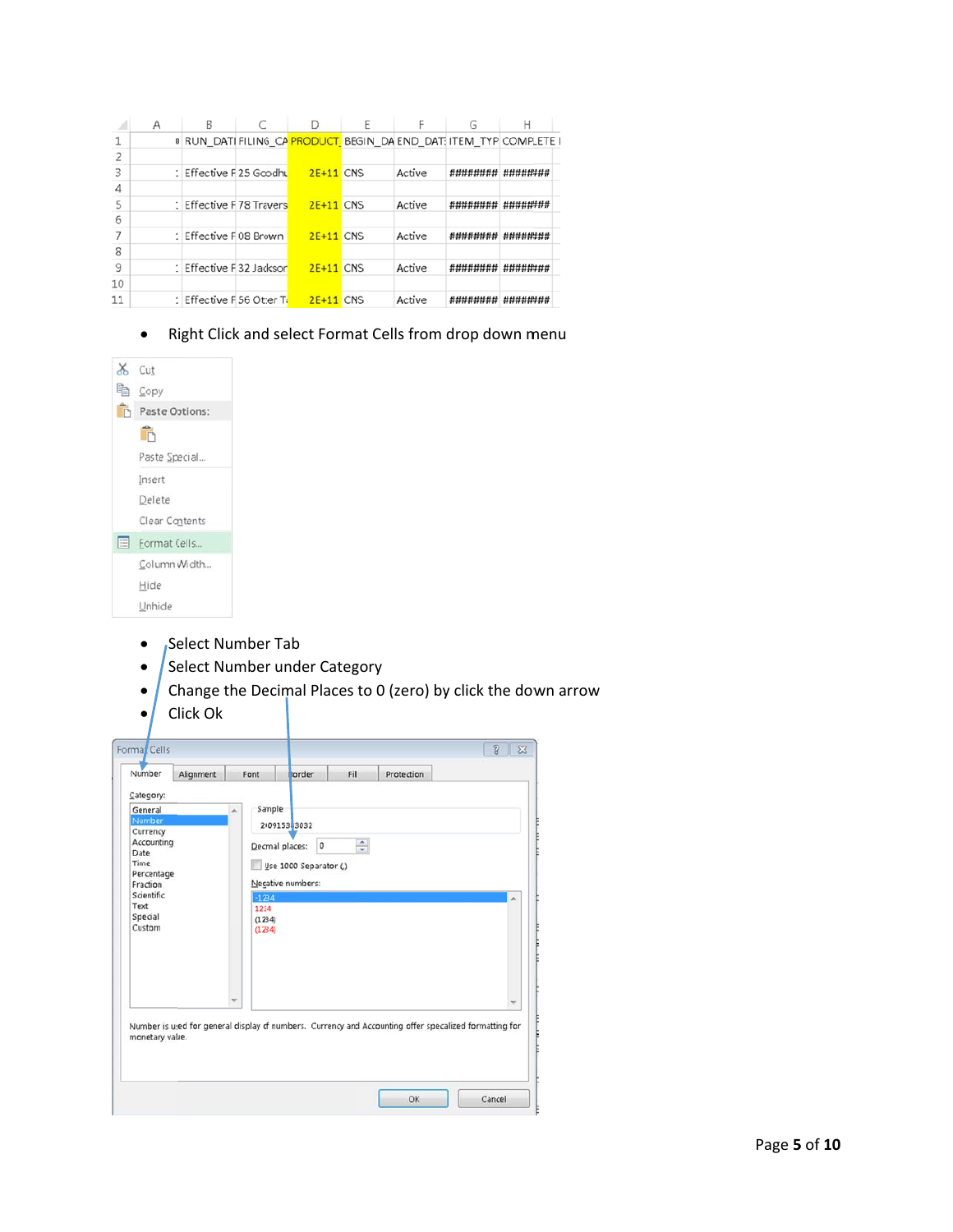|                          | Α | B                        |                  |        | G        |                                                                    |
|--------------------------|---|--------------------------|------------------|--------|----------|--------------------------------------------------------------------|
| 1                        |   |                          |                  |        |          | 0 RUN_DATI FILING CA PRODUCT BEGIN_DA END_DATI ITEM_TYP COMPLETE I |
| $\overline{\phantom{a}}$ |   |                          |                  |        |          |                                                                    |
| 3                        |   | 1 Effective F25 Goodhu   | <b>2F+11 CNS</b> | Active | ######## | ########                                                           |
| 4                        |   |                          |                  |        |          |                                                                    |
| 5                        |   | 1 Effective F78 Travers  | <b>2E+11 CNS</b> | Active | ######## | ########                                                           |
| 6                        |   |                          |                  |        |          |                                                                    |
|                          |   | 1 Effective F08 Brown    | <b>2E+11 CNS</b> | Active | ######## | ########                                                           |
| 8                        |   |                          |                  |        |          |                                                                    |
| 9                        |   | 1 Effective F32 Jackson  | <b>2E+11</b> CNS | Active | #######  | ########                                                           |
| 10                       |   |                          |                  |        |          |                                                                    |
| 11                       |   | 1 Effective F56 Otter T: | <b>2E+11 CNS</b> | Active | ######## |                                                                    |

• Right Click and select Format Cells from drop down menu



- Select Number Tab
- Select Number under Category
- $\int$  Change the Decimal Places to 0 (zero) by click the down arrow
- Click Ok

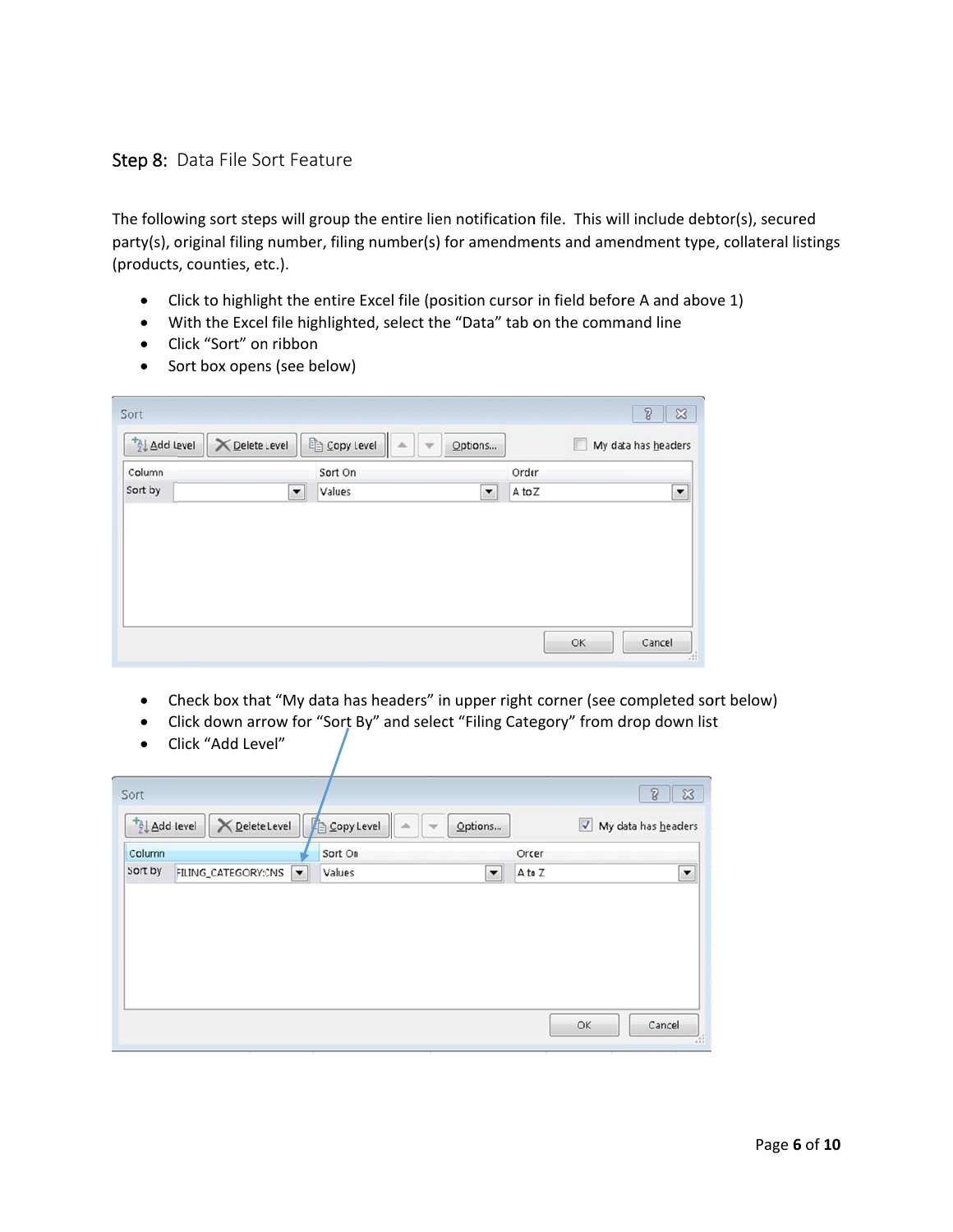## Step 8: Data File Sort Feature

The following sort steps will group the entire lien notification file. This will include debtor(s), secured party(s), original filing number, filing number(s) for amendments and amendment type, collateral listings (products, counties, etc.).

- Click to highlight the entire Excel file (position cursor in field before A and above 1)
- With the Excel file highlighted, select the "Data" tab on the command line
- Click "Sort" on ribbon
- Sort box opens (see below)

| Sort                                |                                            |        |                      |        |   | $\sqrt{3}$<br>$\boldsymbol{\mathbb{S}}$ |
|-------------------------------------|--------------------------------------------|--------|----------------------|--------|---|-----------------------------------------|
| <sup>+</sup> <sup>2</sup> Add Level | $\Box$ Copy Level<br><b>X</b> Delete Level | Ш<br>涵 | Options              |        | m | My data has headers                     |
| Column                              | Sort On                                    |        |                      | Order  |   |                                         |
| Sort by                             | Values<br>$\blacktriangledown$             |        | $\blacktriangledown$ | A to Z |   | $\blacktriangledown$                    |
|                                     |                                            |        |                      |        |   |                                         |

- Check box that "My data has headers" in upper right corner (see completed sort below)
- Click down arrow for "Sort By" and select "Filing Category" from drop down list
- Click "Add Level"

| Sort      |                       |                                |  |                      |        | $\sqrt{3}$<br>$\boldsymbol{\mathbb{X}}$ |
|-----------|-----------------------|--------------------------------|--|----------------------|--------|-----------------------------------------|
| Add Level | <b>X</b> Delete Level | Copy Level                     |  | Options              |        | V My data has headers                   |
| Column    |                       | Sort On                        |  |                      | Order  |                                         |
| Sort by   | FILING_CATEGORY:CNS   | $\blacktriangledown$<br>Values |  | $\blacktriangledown$ | A to Z | $\blacktriangledown$                    |
|           |                       |                                |  |                      |        |                                         |
|           |                       |                                |  |                      |        |                                         |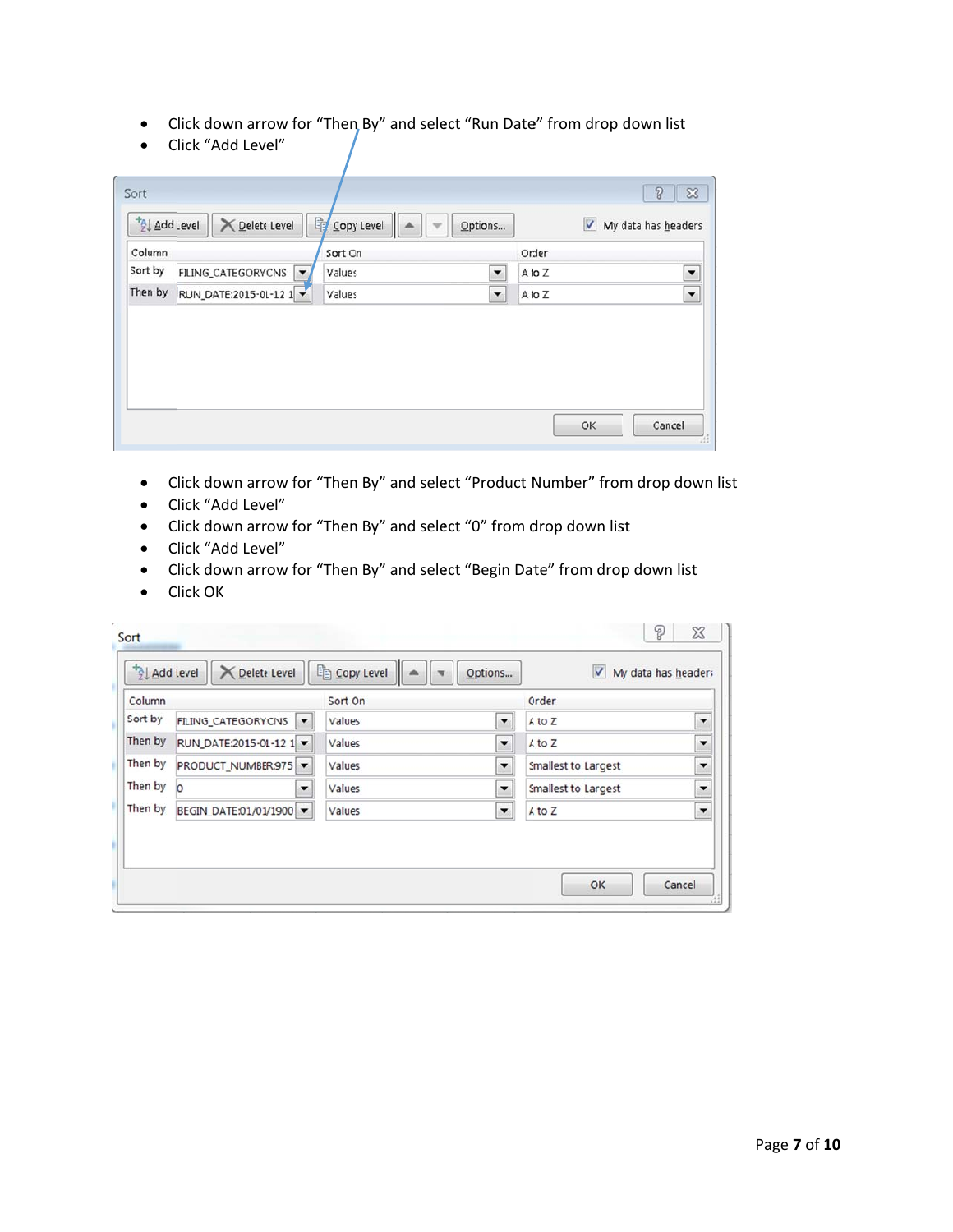- Click down arrow for "Then By" and select "Run Date" from drop down list
- Click "Add Level"

| Column  |                                             | Sort Cn |                          | Order  |                          |
|---------|---------------------------------------------|---------|--------------------------|--------|--------------------------|
| Sort by | FILING_CATEGORY:CNS<br>$\blacktriangledown$ | Values  | $\overline{\phantom{a}}$ | A to Z | $\blacktriangledown$     |
| Then by | RUN_DATE:2015-01-12 1                       | Values  | $\overline{\phantom{a}}$ | A to Z | $\overline{\phantom{a}}$ |
|         |                                             |         |                          |        |                          |
|         |                                             |         |                          |        |                          |
|         |                                             |         |                          |        |                          |

- Click down arrow for "Then By" and select "Product Number" from drop down list
- Click "Add Level"
- Click down arrow for "Then By" and select "0" from drop down list
- Click "Add Level"
- Click down arrow for "Then By" and select "Begin Date" from drop down list
- Click OK

| Column  |                         |                      | Sort On |                          | Order                      |                          |
|---------|-------------------------|----------------------|---------|--------------------------|----------------------------|--------------------------|
| Sort by | FILING_CATEGORY:CNS     | $\blacktriangledown$ | Values  | $\overline{\phantom{a}}$ | A to Z                     | $\overline{\phantom{0}}$ |
| Then by | RUN_DATE:2015-01-12 1 ▼ |                      | Values  | $\blacktriangledown$     | A to Z                     | $\overline{\phantom{0}}$ |
| Then by | PRODUCT_NUMBER:975      |                      | Values  | $\overline{\phantom{a}}$ | Smallest to Largest        | $\overline{\phantom{a}}$ |
| Then by | $\Omega$                | ▼                    | Values  | $\overline{\phantom{a}}$ | <b>Smallest to Largest</b> | ۰                        |
| Then by | BEGIN_DATE:01/01/1900 - |                      | Values  | $\blacktriangledown$     | A to Z                     | $\overline{\phantom{a}}$ |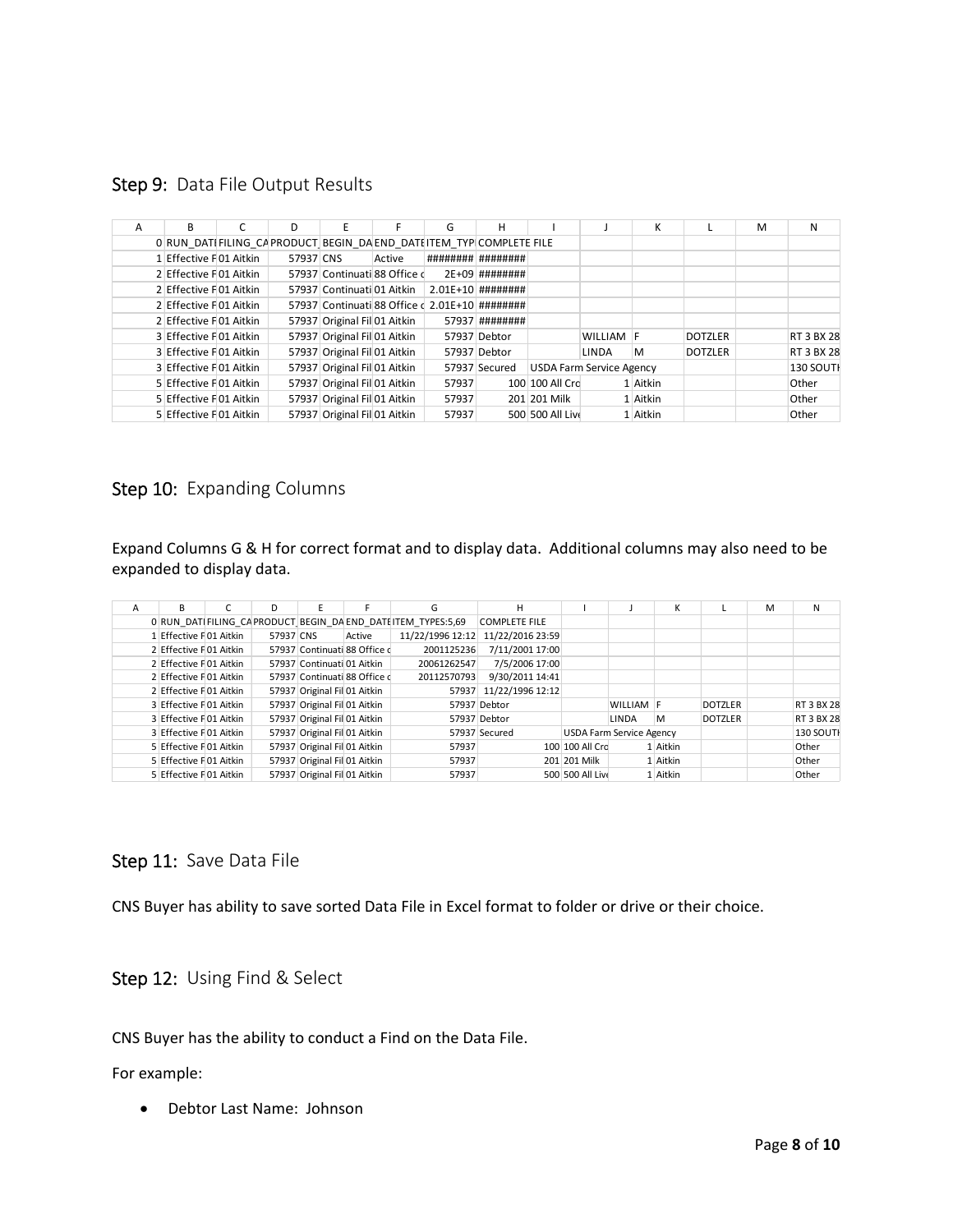Step 9: Data File Output Results

| $\overline{A}$ | B                                                                   | C | D         |                              | F      | G                                              | н                   |                                 |           | К        |                | M | N          |
|----------------|---------------------------------------------------------------------|---|-----------|------------------------------|--------|------------------------------------------------|---------------------|---------------------------------|-----------|----------|----------------|---|------------|
|                | 0 RUN DATIFILING CAPRODUCT BEGIN DA END DATI ITEM TYP COMPLETE FILE |   |           |                              |        |                                                |                     |                                 |           |          |                |   |            |
|                | 1 Effective F01 Aitkin                                              |   | 57937 CNS |                              | Active |                                                | ######### ######### |                                 |           |          |                |   |            |
|                | 2 Effective F01 Aitkin                                              |   |           | 57937 Continuati 88 Office d |        |                                                | $2E+09$ ########    |                                 |           |          |                |   |            |
|                | 2 Effective F01 Aitkin                                              |   |           | 57937 Continuati 01 Aitkin   |        |                                                | $2.01E+10$ ######## |                                 |           |          |                |   |            |
|                | 2 Effective F01 Aitkin                                              |   |           |                              |        | 57937 Continuati 88 Office d 2.01E+10 ######## |                     |                                 |           |          |                |   |            |
|                | 2 Effective FO1 Aitkin                                              |   |           | 57937 Original Fil 01 Aitkin |        |                                                | 57937 ########      |                                 |           |          |                |   |            |
|                | 3 Effective F01 Aitkin                                              |   |           | 57937 Original Fil 01 Aitkin |        |                                                | 57937 Debtor        |                                 | WILLIAM F |          | <b>DOTZLER</b> |   | RT 3 BX 28 |
|                | 3 Effective F01 Aitkin                                              |   |           | 57937 Original Fil 01 Aitkin |        |                                                | 57937 Debtor        |                                 | LINDA     | M        | <b>DOTZLER</b> |   | RT 3 BX 28 |
|                | 3 Effective FO1 Aitkin                                              |   |           | 57937 Original Fil 01 Aitkin |        |                                                | 57937 Secured       | <b>USDA Farm Service Agency</b> |           |          |                |   | 130 SOUTH  |
|                | 5 Effective F01 Aitkin                                              |   |           | 57937 Original Fil 01 Aitkin |        | 57937                                          |                     | 100 100 All Crc                 |           | 1 Aitkin |                |   | Other      |
|                | 5 Effective F01 Aitkin                                              |   |           | 57937 Original Fil 01 Aitkin |        | 57937                                          |                     | 201 201 Milk                    |           | 1 Aitkin |                |   | Other      |
|                | 5 Effective F01 Aitkin                                              |   |           | 57937 Original Fil 01 Aitkin |        | 57937                                          |                     | 500 500 All Live                |           | 1 Aitkin |                |   | Other      |

## Step 10: Expanding Columns

Expand Columns G & H for correct format and to display data. Additional columns may also need to be expanded to display data.

| A | В                       | D         | F                            |                              | G                                                              | н                      |                  |                                 | K        |                | M | N                |
|---|-------------------------|-----------|------------------------------|------------------------------|----------------------------------------------------------------|------------------------|------------------|---------------------------------|----------|----------------|---|------------------|
|   |                         |           |                              |                              | 0 RUN DATI FILING CAPRODUCT BEGIN DA END DATI ITEM TYPES: 5,69 | <b>COMPLETE FILE</b>   |                  |                                 |          |                |   |                  |
|   | 1 Effective F 01 Aitkin | 57937 CNS |                              | Active                       | 11/22/1996 12:12                                               | 11/22/2016 23:59       |                  |                                 |          |                |   |                  |
|   | 2 Effective F01 Aitkin  |           |                              | 57937 Continuati 88 Office d | 2001125236                                                     | 7/11/2001 17:00        |                  |                                 |          |                |   |                  |
|   | 2 Effective F01 Aitkin  |           | 57937 Continuati 01 Aitkin   |                              | 20061262547                                                    | 7/5/2006 17:00         |                  |                                 |          |                |   |                  |
|   | 2 Effective F01 Aitkin  |           |                              | 57937 Continuati 88 Office d | 20112570793                                                    | 9/30/2011 14:41        |                  |                                 |          |                |   |                  |
|   | 2 Effective F01 Aitkin  |           | 57937 Original Fil 01 Aitkin |                              |                                                                | 57937 11/22/1996 12:12 |                  |                                 |          |                |   |                  |
|   | 3 Effective F01 Aitkin  |           | 57937 Original Fil 01 Aitkin |                              |                                                                | 57937 Debtor           |                  | WILLIAM F                       |          | <b>DOTZLER</b> |   | RT 3 BX 28       |
|   | 3 Effective F01 Aitkin  |           | 57937 Original Fil 01 Aitkin |                              |                                                                | 57937 Debtor           |                  | LINDA                           | M        | <b>DOTZLER</b> |   | RT 3 BX 28       |
|   | 3 Effective F01 Aitkin  |           | 57937 Original Fil 01 Aitkin |                              |                                                                | 57937 Secured          |                  | <b>USDA Farm Service Agency</b> |          |                |   | <b>130 SOUTH</b> |
|   | 5 Effective F01 Aitkin  |           | 57937 Original Fil 01 Aitkin |                              | 57937                                                          |                        | 100 100 All Crc  |                                 | 1 Aitkin |                |   | Other            |
|   | 5 Effective F01 Aitkin  |           | 57937 Original Fil 01 Aitkin |                              | 57937                                                          |                        | 201 201 Milk     |                                 | 1 Aitkin |                |   | Other            |
|   | 5 Effective F01 Aitkin  |           | 57937 Original Fil 01 Aitkin |                              | 57937                                                          |                        | 500 500 All Live |                                 | 1 Aitkin |                |   | Other            |

## Step 11: Save Data File

CNS Buyer has ability to save sorted Data File in Excel format to folder or drive or their choice.

Step 12: Using Find & Select

CNS Buyer has the ability to conduct a Find on the Data File.

For example:

Debtor Last Name: Johnson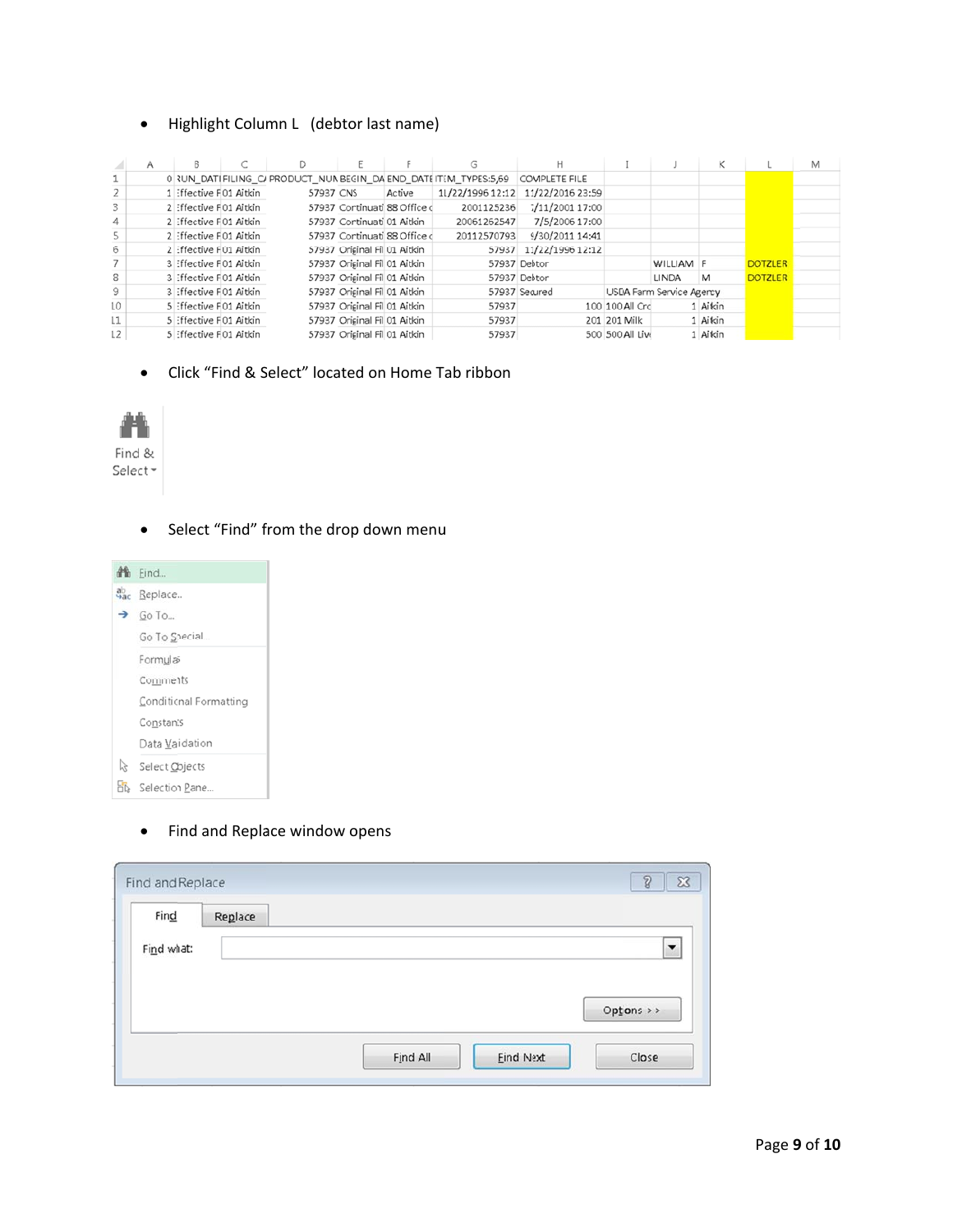#### Highlight Column L (debtor last name)  $\bullet$

|     | Α |                        |           |                              |                              |                                                                  |                  |                  |                          | κ        |                | Μ |
|-----|---|------------------------|-----------|------------------------------|------------------------------|------------------------------------------------------------------|------------------|------------------|--------------------------|----------|----------------|---|
|     |   |                        |           |                              |                              | 0 RUN DATI FILING C/ PRODUCT NUMBEGIN DA END DATEITEM TYPES:5,69 | COMPLETE FILE    |                  |                          |          |                |   |
|     |   | 1 Effective F01 Aitkin | 57937 CNS |                              | Active                       | 11/22/1996 12:12                                                 | 11/22/2016 23:59 |                  |                          |          |                |   |
|     |   | 2 Effective F01 Aitkin |           |                              | 57937 Cortinuati 88 Office d | 2001125236                                                       | 7/11/2001 17:00  |                  |                          |          |                |   |
| 4   |   | 2 Effective F01 Aitkin |           | 57937 Cortinuati 01 Aitkin   |                              | 20061262547                                                      | 7/5/2006 17:00   |                  |                          |          |                |   |
|     |   | 2 Effective F01 Aitkin |           |                              | 57937 Cortinuati 88 Office d | 20112570793                                                      | 9/30/2011 14:41  |                  |                          |          |                |   |
| 6   |   | 2 Effective F01 Aitkin |           | 57937 Orisinal Fil 01 Aitkin |                              | 57937                                                            | 11/22/1996 12:12 |                  |                          |          |                |   |
|     |   | 3 Effective F01 Aitkin |           | 57937 Orisinal Fil 01 Aitkin |                              |                                                                  | 57937 Debtor     |                  | WILLIAM F                |          | <b>DOTZLER</b> |   |
| 8   |   | 3 Effective F01 Aitkin |           | 57937 Orisinal Fil 01 Aitkin |                              |                                                                  | 57937 Debtor     |                  | LINDA                    | M        | <b>DOTZLER</b> |   |
| 9   |   | 3 Effective F01 Aitkin |           | 57937 Orisinal Fil 01 Aitkin |                              |                                                                  | 57937 Secured    |                  | USDA Farm Service Agency |          |                |   |
| LO. |   | 5 Effective F01 Aitkin |           | 57937 Orisinal Fil 01 Aitkin |                              | 57937                                                            |                  | 100 100 All Crc  |                          | 1 Aitkin |                |   |
| L1. |   | 5 Effective F01 Aitkin |           | 57937 Orisinal Fil 01 Aitkin |                              | 57937                                                            |                  | 201 201 Milk     |                          | 1 Aitkin |                |   |
| 12  |   | 5 Effective F01 Aitkin |           | 57937 Orisinal Fil 01 Aitkin |                              | 57937                                                            |                  | 500 500 All Live |                          | 1 Aitkin |                |   |

Click "Find & Select" located on Home Tab ribbon  $\bullet$ 



- - Select "Find" from the drop down menu  $\bullet$



Find and Replace window opens  $\bullet$ 

| Find       | Replace |  |                      |
|------------|---------|--|----------------------|
| Find what: |         |  | $\blacktriangledown$ |
|            |         |  |                      |